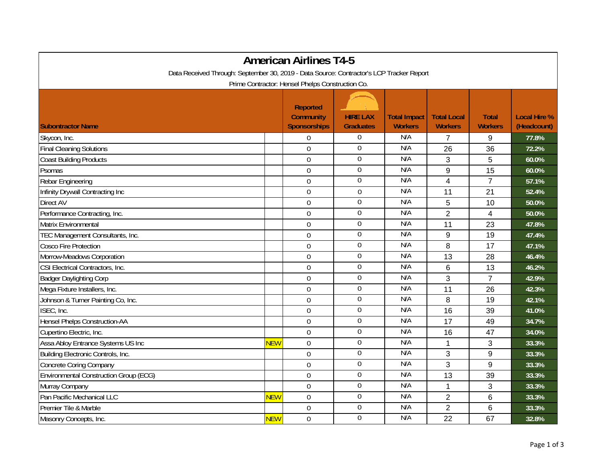| <b>American Airlines T4-5</b>                                                            |            |                                                            |                                     |                                       |                                      |                                |                                    |  |
|------------------------------------------------------------------------------------------|------------|------------------------------------------------------------|-------------------------------------|---------------------------------------|--------------------------------------|--------------------------------|------------------------------------|--|
| Data Received Through: September 30, 2019 - Data Source: Contractor's LCP Tracker Report |            |                                                            |                                     |                                       |                                      |                                |                                    |  |
| Prime Contractor: Hensel Phelps Construction Co.                                         |            |                                                            |                                     |                                       |                                      |                                |                                    |  |
| <b>Subontractor Name</b>                                                                 |            | <b>Reported</b><br><b>Community</b><br><b>Sponsorships</b> | <b>HIRE LAX</b><br><b>Graduates</b> | <b>Total Impact</b><br><b>Workers</b> | <b>Total Local</b><br><b>Workers</b> | <b>Total</b><br><b>Workers</b> | <b>Local Hire %</b><br>(Headcount) |  |
| Skycon, Inc.                                                                             |            | $\Omega$                                                   | 0                                   | N/A                                   | $\overline{7}$                       | 9                              | 77.8%                              |  |
| <b>Final Cleaning Solutions</b>                                                          |            | $\overline{0}$                                             | 0                                   | N/A                                   | 26                                   | 36                             | 72.2%                              |  |
| <b>Coast Building Products</b>                                                           |            | $\mathbf 0$                                                | $\overline{0}$                      | N/A                                   | 3                                    | 5                              | 60.0%                              |  |
| Psomas                                                                                   |            | $\mathbf 0$                                                | $\Omega$                            | N/A                                   | 9                                    | 15                             | 60.0%                              |  |
| Rebar Engineering                                                                        |            | $\mathbf 0$                                                | $\mathbf 0$                         | N/A                                   | $\overline{4}$                       | $\overline{7}$                 | 57.1%                              |  |
| Infinity Drywall Contracting Inc                                                         |            | $\overline{0}$                                             | $\mathbf 0$                         | N/A                                   | 11                                   | 21                             | 52.4%                              |  |
| Direct AV                                                                                |            | $\mathbf 0$                                                | $\mathbf 0$                         | N/A                                   | 5                                    | 10                             | 50.0%                              |  |
| Performance Contracting, Inc.                                                            |            | $\overline{0}$                                             | $\overline{0}$                      | N/A                                   | $\overline{2}$                       | $\overline{\mathbf{4}}$        | 50.0%                              |  |
| Matrix Environmental                                                                     |            | $\mathbf 0$                                                | 0                                   | N/A                                   | 11                                   | 23                             | 47.8%                              |  |
| TEC Management Consultants, Inc.                                                         |            | $\overline{0}$                                             | 0                                   | N/A                                   | 9                                    | 19                             | 47.4%                              |  |
| <b>Cosco Fire Protection</b>                                                             |            | $\mathbf 0$                                                | $\Omega$                            | N/A                                   | 8                                    | 17                             | 47.1%                              |  |
| Morrow-Meadows Corporation                                                               |            | $\mathbf 0$                                                | $\overline{0}$                      | N/A                                   | 13                                   | 28                             | 46.4%                              |  |
| CSI Electrical Contractors, Inc.                                                         |            | $\overline{0}$                                             | $\mathbf 0$                         | N/A                                   | 6                                    | 13                             | 46.2%                              |  |
| <b>Badger Daylighting Corp</b>                                                           |            | $\overline{0}$                                             | $\Omega$                            | N/A                                   | 3                                    | $\overline{7}$                 | 42.9%                              |  |
| Mega Fixture Installers, Inc.                                                            |            | $\mathbf 0$                                                | $\overline{0}$                      | N/A                                   | 11                                   | 26                             | 42.3%                              |  |
| Johnson & Turner Painting Co, Inc.                                                       |            | $\overline{0}$                                             | $\overline{0}$                      | N/A                                   | 8                                    | 19                             | 42.1%                              |  |
| ISEC, Inc.                                                                               |            | $\Omega$                                                   | $\overline{0}$                      | N/A                                   | 16                                   | 39                             | 41.0%                              |  |
| Hensel Phelps Construction-AA                                                            |            | $\mathbf 0$                                                | 0                                   | N/A                                   | 17                                   | 49                             | 34.7%                              |  |
| Cupertino Electric, Inc.                                                                 |            | $\mathbf 0$                                                | 0                                   | N/A                                   | 16                                   | 47                             | 34.0%                              |  |
| Assa Abloy Entrance Systems US Inc                                                       | <b>NEW</b> | $\mathbf 0$                                                | $\overline{0}$                      | N/A                                   | $\mathbf{1}$                         | 3                              | 33.3%                              |  |
| Building Electronic Controls, Inc.                                                       |            | $\boldsymbol{0}$                                           | $\overline{0}$                      | N/A                                   | 3                                    | 9                              | 33.3%                              |  |
| <b>Concrete Coring Company</b>                                                           |            | $\mathbf 0$                                                | 0                                   | N/A                                   | 3                                    | 9                              | 33.3%                              |  |
| <b>Environmental Construction Group (ECG)</b>                                            |            | $\overline{0}$                                             | 0                                   | N/A                                   | 13                                   | 39                             | 33.3%                              |  |
| Murray Company                                                                           |            | $\overline{0}$                                             | $\overline{0}$                      | N/A                                   | $\mathbf{1}$                         | 3                              | 33.3%                              |  |
| Pan Pacific Mechanical LLC                                                               | <b>NEW</b> | $\boldsymbol{0}$                                           | $\overline{0}$                      | N/A                                   | $\overline{2}$                       | 6                              | 33.3%                              |  |
| Premier Tile & Marble                                                                    |            | $\mathbf 0$                                                | $\boldsymbol{0}$                    | N/A                                   | $\overline{2}$                       | 6                              | 33.3%                              |  |
| Masonry Concepts, Inc.                                                                   | <b>NEW</b> | $\mathbf 0$                                                | $\overline{0}$                      | N/A                                   | 22                                   | 67                             | 32.8%                              |  |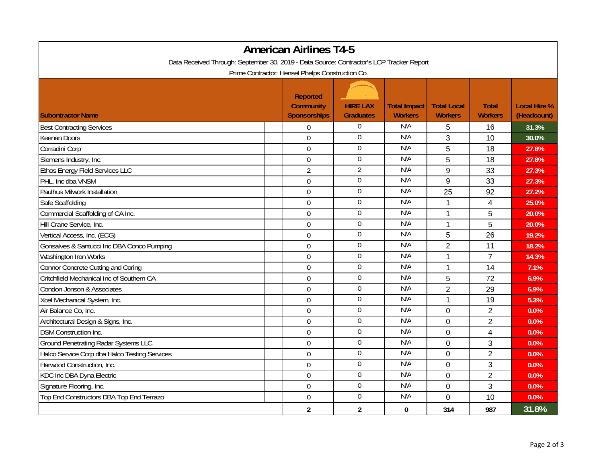| <b>American Airlines T4-5</b>                                                                                                                |                  |                  |     |                |                         |       |  |  |
|----------------------------------------------------------------------------------------------------------------------------------------------|------------------|------------------|-----|----------------|-------------------------|-------|--|--|
| Data Received Through: September 30, 2019 - Data Source: Contractor's LCP Tracker Report<br>Prime Contractor: Hensel Phelps Construction Co. |                  |                  |     |                |                         |       |  |  |
|                                                                                                                                              |                  |                  |     |                |                         |       |  |  |
| <b>Best Contracting Services</b>                                                                                                             | $\Omega$         | $\mathbf{0}$     | N/A | 5              | 16                      | 31.3% |  |  |
| <b>Keenan Doors</b>                                                                                                                          | $\mathbf 0$      | $\Omega$         | N/A | 3              | 10                      | 30.0% |  |  |
| Corradini Corp                                                                                                                               | $\overline{0}$   | $\mathbf 0$      | N/A | 5              | 18                      | 27.8% |  |  |
| Siemens Industry, Inc.                                                                                                                       | $\overline{0}$   | $\boldsymbol{0}$ | N/A | 5              | 18                      | 27.8% |  |  |
| Ethos Energy Field Services LLC                                                                                                              | $\overline{2}$   | $\overline{2}$   | N/A | 9              | 33                      | 27.3% |  |  |
| PHL, Inc dba VNSM                                                                                                                            | $\overline{0}$   | $\boldsymbol{0}$ | N/A | 9              | 33                      | 27.3% |  |  |
| Paulhus Milwork Installation                                                                                                                 | $\Omega$         | $\overline{0}$   | N/A | 25             | 92                      | 27.2% |  |  |
| Safe Scaffolding                                                                                                                             | $\mathbf 0$      | $\boldsymbol{0}$ | N/A | 1              | $\overline{4}$          | 25.0% |  |  |
| Commercial Scaffolding of CA Inc.                                                                                                            | $\mathbf 0$      | $\overline{0}$   | N/A | $\mathbf 1$    | 5                       | 20.0% |  |  |
| Hill Crane Service, Inc.                                                                                                                     | $\mathbf 0$      | $\boldsymbol{0}$ | N/A | 1              | 5                       | 20.0% |  |  |
| Vertical Access, Inc. (ECG)                                                                                                                  | $\mathbf 0$      | $\overline{0}$   | N/A | 5              | 26                      | 19.2% |  |  |
| Gonsalves & Santucci Inc DBA Conco Pumping                                                                                                   | $\overline{0}$   | $\mathbf 0$      | N/A | $\overline{2}$ | 11                      | 18.2% |  |  |
| Washington Iron Works                                                                                                                        | $\overline{0}$   | $\overline{0}$   | N/A | 1              | $\overline{7}$          | 14.3% |  |  |
| Connor Concrete Cutting and Coring                                                                                                           | $\overline{0}$   | $\boldsymbol{0}$ | N/A | $\mathbf{1}$   | 14                      | 7.1%  |  |  |
| Critchfield Mechanical Inc of Southern CA                                                                                                    | $\mathbf 0$      | $\overline{0}$   | N/A | 5              | 72                      | 6.9%  |  |  |
| Condon Jonson & Associates                                                                                                                   | $\overline{0}$   | 0                | N/A | $\overline{2}$ | 29                      | 6.9%  |  |  |
| Xcel Mechanical System, Inc.                                                                                                                 | $\mathbf 0$      | $\boldsymbol{0}$ | N/A | 1              | 19                      | 5.3%  |  |  |
| Air Balance Co, Inc.                                                                                                                         | $\overline{0}$   | $\overline{0}$   | N/A | $\Omega$       | $\overline{2}$          | 0.0%  |  |  |
| Architectural Design & Signs, Inc.                                                                                                           | $\Omega$         | 0                | N/A | $\mathbf 0$    | $\overline{2}$          | 0.0%  |  |  |
| <b>DSM Construction Inc.</b>                                                                                                                 | $\overline{0}$   | $\mathbf 0$      | N/A | $\overline{0}$ | $\overline{\mathbf{4}}$ | 0.0%  |  |  |
| <b>Ground Penetrating Radar Systems LLC</b>                                                                                                  | $\mathbf 0$      | $\overline{0}$   | N/A | $\mathbf 0$    | 3                       | 0.0%  |  |  |
| Halco Service Corp dba Halco Testing Services                                                                                                | $\boldsymbol{0}$ | $\overline{0}$   | N/A | 0              | $\overline{2}$          | 0.0%  |  |  |
| Harwood Construction, Inc.                                                                                                                   | $\mathbf 0$      | $\boldsymbol{0}$ | N/A | $\mathbf 0$    | 3                       | 0.0%  |  |  |
| <b>KDC Inc DBA Dyna Electric</b>                                                                                                             | $\mathbf 0$      | $\mathbf 0$      | N/A | $\mathbf 0$    | $\overline{2}$          | 0.0%  |  |  |
| Signature Flooring, Inc.                                                                                                                     | $\overline{0}$   | $\overline{0}$   | N/A | $\overline{0}$ | 3                       | 0.0%  |  |  |
| Top End Constructors DBA Top End Terrazo                                                                                                     | $\overline{0}$   | $\overline{0}$   | N/A | $\mathbf 0$    | 10                      | 0.0%  |  |  |
|                                                                                                                                              | $\overline{2}$   | $\overline{2}$   | 0   | 314            | 987                     | 31.8% |  |  |